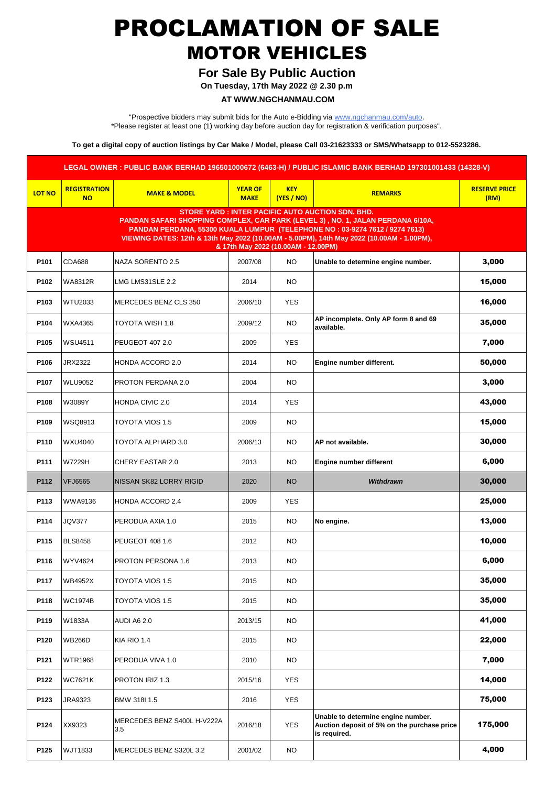# PROCLAMATION OF SALE MOTOR VEHICLES

### **For Sale By Public Auction**

**On Tuesday, 17th May 2022 @ 2.30 p.m**

#### **AT WWW.NGCHANMAU.COM**

"Prospective bidders may submit bids for the Auto e-Bidding via www.ngchanmau.com/auto. \*Please register at least one (1) working day before auction day for registration & verification purposes".

**To get a digital copy of auction listings by Car Make / Model, please Call 03-21623333 or SMS/Whatsapp to 012-5523286.**

|                                                                                                                                                                                                                                                                                                                                                               |                                  |                                    |                               |                          | LEGAL OWNER: PUBLIC BANK BERHAD 196501000672 (6463-H) / PUBLIC ISLAMIC BANK BERHAD 197301001433 (14328-V) |                              |  |  |  |  |
|---------------------------------------------------------------------------------------------------------------------------------------------------------------------------------------------------------------------------------------------------------------------------------------------------------------------------------------------------------------|----------------------------------|------------------------------------|-------------------------------|--------------------------|-----------------------------------------------------------------------------------------------------------|------------------------------|--|--|--|--|
| <b>LOT NO</b>                                                                                                                                                                                                                                                                                                                                                 | <b>REGISTRATION</b><br><b>NO</b> | <b>MAKE &amp; MODEL</b>            | <b>YEAR OF</b><br><b>MAKE</b> | <b>KEY</b><br>(YES / NO) | <b>REMARKS</b>                                                                                            | <b>RESERVE PRICE</b><br>(RM) |  |  |  |  |
| <b>STORE YARD: INTER PACIFIC AUTO AUCTION SDN. BHD.</b><br>PANDAN SAFARI SHOPPING COMPLEX, CAR PARK (LEVEL 3), NO. 1, JALAN PERDANA 6/10A,<br>PANDAN PERDANA, 55300 KUALA LUMPUR (TELEPHONE NO: 03-9274 7612 / 9274 7613)<br>VIEWING DATES: 12th & 13th May 2022 (10.00AM - 5.00PM), 14th May 2022 (10.00AM - 1.00PM),<br>& 17th May 2022 (10.00AM - 12.00PM) |                                  |                                    |                               |                          |                                                                                                           |                              |  |  |  |  |
| P101                                                                                                                                                                                                                                                                                                                                                          | <b>CDA688</b>                    | NAZA SORENTO 2.5                   | 2007/08                       | <b>NO</b>                | Unable to determine engine number.                                                                        | 3,000                        |  |  |  |  |
| P102                                                                                                                                                                                                                                                                                                                                                          | <b>WA8312R</b>                   | LMG LMS31SLE 2.2                   | 2014                          | NO.                      |                                                                                                           | 15,000                       |  |  |  |  |
| P103                                                                                                                                                                                                                                                                                                                                                          | <b>WTU2033</b>                   | MERCEDES BENZ CLS 350              | 2006/10                       | <b>YES</b>               |                                                                                                           | 16,000                       |  |  |  |  |
| P104                                                                                                                                                                                                                                                                                                                                                          | <b>WXA4365</b>                   | TOYOTA WISH 1.8                    | 2009/12                       | <b>NO</b>                | AP incomplete. Only AP form 8 and 69<br>available.                                                        | 35,000                       |  |  |  |  |
| P105                                                                                                                                                                                                                                                                                                                                                          | <b>WSU4511</b>                   | PEUGEOT 407 2.0                    | 2009                          | <b>YES</b>               |                                                                                                           | 7,000                        |  |  |  |  |
| P106                                                                                                                                                                                                                                                                                                                                                          | <b>JRX2322</b>                   | HONDA ACCORD 2.0                   | 2014                          | NO.                      | Engine number different.                                                                                  | 50,000                       |  |  |  |  |
| P107                                                                                                                                                                                                                                                                                                                                                          | <b>WLU9052</b>                   | PROTON PERDANA 2.0                 | 2004                          | NO.                      |                                                                                                           | 3,000                        |  |  |  |  |
| P108                                                                                                                                                                                                                                                                                                                                                          | W3089Y                           | <b>HONDA CIVIC 2.0</b>             | 2014                          | <b>YES</b>               |                                                                                                           | 43,000                       |  |  |  |  |
| P109                                                                                                                                                                                                                                                                                                                                                          | WSQ8913                          | TOYOTA VIOS 1.5                    | 2009                          | NO.                      |                                                                                                           | 15,000                       |  |  |  |  |
| P110                                                                                                                                                                                                                                                                                                                                                          | WXU4040                          | TOYOTA ALPHARD 3.0                 | 2006/13                       | <b>NO</b>                | AP not available.                                                                                         | 30,000                       |  |  |  |  |
| P111                                                                                                                                                                                                                                                                                                                                                          | W7229H                           | CHERY EASTAR 2.0                   | 2013                          | NO.                      | <b>Engine number different</b>                                                                            | 6,000                        |  |  |  |  |
| P112                                                                                                                                                                                                                                                                                                                                                          | <b>VFJ6565</b>                   | NISSAN SK82 LORRY RIGID            | 2020                          | <b>NO</b>                | Withdrawn                                                                                                 | 30,000                       |  |  |  |  |
| P113                                                                                                                                                                                                                                                                                                                                                          | <b>WWA9136</b>                   | HONDA ACCORD 2.4                   | 2009                          | <b>YES</b>               |                                                                                                           | 25,000                       |  |  |  |  |
| P114                                                                                                                                                                                                                                                                                                                                                          | <b>JQV377</b>                    | PERODUA AXIA 1.0                   | 2015                          | <b>NO</b>                | No engine.                                                                                                | 13,000                       |  |  |  |  |
| P115                                                                                                                                                                                                                                                                                                                                                          | <b>BLS8458</b>                   | PEUGEOT 408 1.6                    | 2012                          | NO.                      |                                                                                                           | 10,000                       |  |  |  |  |
| P116                                                                                                                                                                                                                                                                                                                                                          | WYV4624                          | PROTON PERSONA 1.6                 | 2013                          | NO.                      |                                                                                                           | 6,000                        |  |  |  |  |
| P117                                                                                                                                                                                                                                                                                                                                                          | <b>WB4952X</b>                   | TOYOTA VIOS 1.5                    | 2015                          | <b>NO</b>                |                                                                                                           | 35,000                       |  |  |  |  |
| P118                                                                                                                                                                                                                                                                                                                                                          | <b>WC1974B</b>                   | TOYOTA VIOS 1.5                    | 2015                          | <b>NO</b>                |                                                                                                           | 35,000                       |  |  |  |  |
| P119                                                                                                                                                                                                                                                                                                                                                          | W1833A                           | <b>AUDI A6 2.0</b>                 | 2013/15                       | NO.                      |                                                                                                           | 41,000                       |  |  |  |  |
| P120                                                                                                                                                                                                                                                                                                                                                          | <b>WB266D</b>                    | KIA RIO 1.4                        | 2015                          | NO.                      |                                                                                                           | 22,000                       |  |  |  |  |
| P121                                                                                                                                                                                                                                                                                                                                                          | <b>WTR1968</b>                   | PERODUA VIVA 1.0                   | 2010                          | NO.                      |                                                                                                           | 7,000                        |  |  |  |  |
| P122                                                                                                                                                                                                                                                                                                                                                          | <b>WC7621K</b>                   | PROTON IRIZ 1.3                    | 2015/16                       | <b>YES</b>               |                                                                                                           | 14,000                       |  |  |  |  |
| P123                                                                                                                                                                                                                                                                                                                                                          | JRA9323                          | BMW 318I 1.5                       | 2016                          | <b>YES</b>               |                                                                                                           | 75,000                       |  |  |  |  |
| P124                                                                                                                                                                                                                                                                                                                                                          | XX9323                           | MERCEDES BENZ S400L H-V222A<br>3.5 | 2016/18                       | <b>YES</b>               | Unable to determine engine number.<br>Auction deposit of 5% on the purchase price<br>is required.         | 175,000                      |  |  |  |  |
| P125                                                                                                                                                                                                                                                                                                                                                          | WJT1833                          | MERCEDES BENZ S320L 3.2            | 2001/02                       | <b>NO</b>                |                                                                                                           | 4,000                        |  |  |  |  |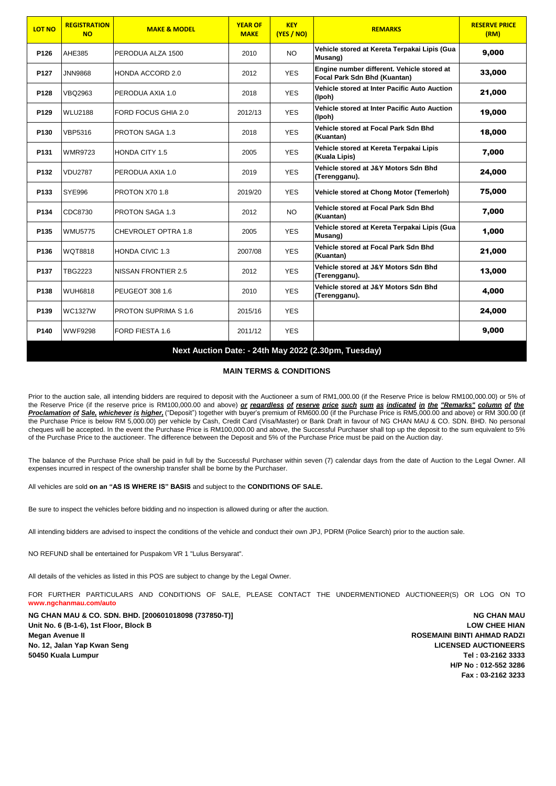| <b>LOT NO</b>                                        | <b>REGISTRATION</b><br><b>NO</b> | <b>MAKE &amp; MODEL</b>     | <b>YEAR OF</b><br><b>MAKE</b> | <b>KEY</b><br>(YES / NO) | <b>REMARKS</b>                                                             | <b>RESERVE PRICE</b><br>(RM) |  |  |  |
|------------------------------------------------------|----------------------------------|-----------------------------|-------------------------------|--------------------------|----------------------------------------------------------------------------|------------------------------|--|--|--|
| P126                                                 | AHE385                           | PERODUA ALZA 1500           | 2010                          | <b>NO</b>                | Vehicle stored at Kereta Terpakai Lipis (Gua<br>Musang)                    | 9,000                        |  |  |  |
| P127                                                 | <b>JNN9868</b>                   | HONDA ACCORD 2.0            | 2012                          | <b>YES</b>               | Engine number different. Vehicle stored at<br>Focal Park Sdn Bhd (Kuantan) | 33,000                       |  |  |  |
| P128                                                 | <b>VBQ2963</b>                   | PERODUA AXIA 1.0            | 2018                          | <b>YES</b>               | Vehicle stored at Inter Pacific Auto Auction<br>(Ipoh)                     | 21,000                       |  |  |  |
| P129                                                 | <b>WLU2188</b>                   | <b>FORD FOCUS GHIA 2.0</b>  | 2012/13                       | <b>YES</b>               | Vehicle stored at Inter Pacific Auto Auction<br>(Ipoh)                     | 19,000                       |  |  |  |
| P <sub>130</sub>                                     | <b>VBP5316</b>                   | <b>PROTON SAGA 1.3</b>      | 2018                          | <b>YES</b>               | Vehicle stored at Focal Park Sdn Bhd<br>(Kuantan)                          | 18,000                       |  |  |  |
| P131                                                 | <b>WMR9723</b>                   | <b>HONDA CITY 1.5</b>       | 2005                          | <b>YES</b>               | Vehicle stored at Kereta Terpakai Lipis<br>(Kuala Lipis)                   | 7,000                        |  |  |  |
| P132                                                 | <b>VDU2787</b>                   | PERODUA AXIA 1.0            | 2019                          | <b>YES</b>               | Vehicle stored at J&Y Motors Sdn Bhd<br>(Terengganu).                      | 24,000                       |  |  |  |
| P133                                                 | <b>SYE996</b>                    | PROTON X70 1.8              | 2019/20                       | <b>YES</b>               | Vehicle stored at Chong Motor (Temerloh)                                   | 75,000                       |  |  |  |
| P134                                                 | CDC8730                          | <b>PROTON SAGA 1.3</b>      | 2012                          | <b>NO</b>                | Vehicle stored at Focal Park Sdn Bhd<br>(Kuantan)                          | 7,000                        |  |  |  |
| P135                                                 | <b>WMU5775</b>                   | CHEVROLET OPTRA 1.8         | 2005                          | <b>YES</b>               | Vehicle stored at Kereta Terpakai Lipis (Gua<br>Musang)                    | 1,000                        |  |  |  |
| P136                                                 | WQT8818                          | <b>HONDA CIVIC 1.3</b>      | 2007/08                       | <b>YES</b>               | Vehicle stored at Focal Park Sdn Bhd<br>(Kuantan)                          | 21,000                       |  |  |  |
| P137                                                 | TBG2223                          | NISSAN FRONTIER 2.5         | 2012                          | <b>YES</b>               | Vehicle stored at J&Y Motors Sdn Bhd<br>(Terengganu).                      | 13,000                       |  |  |  |
| P138                                                 | <b>WUH6818</b>                   | PEUGEOT 308 1.6             | 2010                          | <b>YES</b>               | Vehicle stored at J&Y Motors Sdn Bhd<br>(Terengganu).                      | 4,000                        |  |  |  |
| P139                                                 | <b>WC1327W</b>                   | <b>PROTON SUPRIMA S 1.6</b> | 2015/16                       | <b>YES</b>               |                                                                            | 24,000                       |  |  |  |
| P140                                                 | <b>WWF9298</b>                   | FORD FIESTA 1.6             | 2011/12                       | <b>YES</b>               |                                                                            | 9,000                        |  |  |  |
| Next Auction Date: - 24th May 2022 (2.30pm, Tuesday) |                                  |                             |                               |                          |                                                                            |                              |  |  |  |

#### **MAIN TERMS & CONDITIONS**

Prior to the auction sale, all intending bidders are required to deposit with the Auctioneer a sum of RM1,000.00 (if the Reserve Price is below RM100,000.00) or 5% of the Reserve Price (if the reserve price is RM100,000.00 and above) or regardless of reserve price such sum as indicated in the "Remarks" column of the *Proclamation of Sale, whichever is higher,* ("Deposit") together with buyer's premium of RM600.00 (if the Purchase Price is RM5,000.00 and above) or RM 300.00 (if the Purchase Price is below RM 5,000.00) per vehicle by Cash, Credit Card (Visa/Master) or Bank Draft in favour of NG CHAN MAU & CO. SDN. BHD. No personal cheques will be accepted. In the event the Purchase Price is RM100,000.00 and above, the Successful Purchaser shall top up the deposit to the sum equivalent to 5% of the Purchase Price to the auctioneer. The difference between the Deposit and 5% of the Purchase Price must be paid on the Auction day.

The balance of the Purchase Price shall be paid in full by the Successful Purchaser within seven (7) calendar days from the date of Auction to the Legal Owner. All expenses incurred in respect of the ownership transfer shall be borne by the Purchaser.

All vehicles are sold **on an "AS IS WHERE IS" BASIS** and subject to the **CONDITIONS OF SALE.**

Be sure to inspect the vehicles before bidding and no inspection is allowed during or after the auction.

All intending bidders are advised to inspect the conditions of the vehicle and conduct their own JPJ, PDRM (Police Search) prior to the auction sale.

NO REFUND shall be entertained for Puspakom VR 1 "Lulus Bersyarat".

All details of the vehicles as listed in this POS are subject to change by the Legal Owner.

[FOR](http://www.ngchanmau.com/) [FURTHER](http://www.ngchanmau.com/) [PARTICULARS](http://www.ngchanmau.com/) AND CONDITIONS OF SALE, PLEASE CONTACT THE [UNDERMENTIONED](http://www.ngchanmau.com/) AUCTIONEER(S) OR LOG ON TO **[www.ngch](http://www.ngchanmau.com/)anmau.com/auto**

**NG CHAN MAU & CO. SDN. BHD. [200601018098 (737850-T)] NG CHAN MAU** Unit No. 6 (B-1-6), 1st Floor, Block B **LOW CHEE HIAN Megan Avenue II ROSEMAINI BINTI AHMAD RADZI No. 12, Jalan Yap Kwan Seng LICENSED AUCTIONEERS 50450 Kuala Lumpur Tel : 03-2162 3333**

 **H/P No : 012-552 3286 Fax : 03-2162 3233**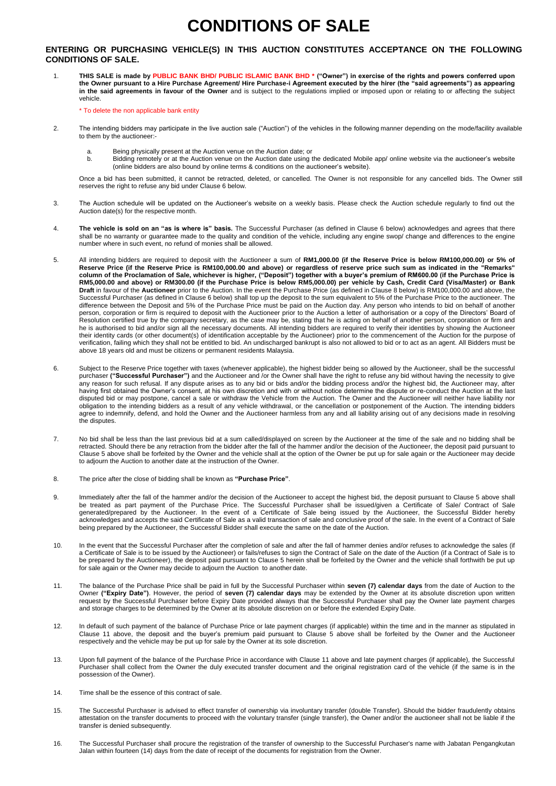# **CONDITIONS OF SALE**

#### **ENTERING OR PURCHASING VEHICLE(S) IN THIS AUCTION CONSTITUTES ACCEPTANCE ON THE FOLLOWING CONDITIONS OF SALE.**

1. **THIS SALE is made by PUBLIC BANK BHD/ PUBLIC ISLAMIC BANK BHD \* ("Owner") in exercise of the rights and powers conferred upon the Owner pursuant to a Hire Purchase Agreement/ Hire Purchase-i Agreement executed by the hirer (the "said agreements") as appearing in the said agreements in favour of the Owner** and is subject to the regulations implied or imposed upon or relating to or affecting the subject vehicle.

\* To delete the non applicable bank entity

- 2. The intending bidders may participate in the live auction sale ("Auction") of the vehicles in the following manner depending on the mode/facility available to them by the auctioneer:
	- a. Being physically present at the Auction venue on the Auction date; or
	- b. Bidding remotely or at the Auction venue on the Auction date using the dedicated Mobile app/ online website via the auctioneer's website (online bidders are also bound by online terms & conditions on the auctioneer's website).

Once a bid has been submitted, it cannot be retracted, deleted, or cancelled. The Owner is not responsible for any cancelled bids. The Owner still reserves the right to refuse any bid under Clause 6 below.

- 3. The Auction schedule will be updated on the Auctioneer's website on a weekly basis. Please check the Auction schedule regularly to find out the Auction date(s) for the respective month.
- 4. **The vehicle is sold on an "as is where is" basis.** The Successful Purchaser (as defined in Clause 6 below) acknowledges and agrees that there shall be no warranty or guarantee made to the quality and condition of the vehicle, including any engine swop/ change and differences to the engine number where in such event, no refund of monies shall be allowed.
- 5. All intending bidders are required to deposit with the Auctioneer a sum of **RM1,000.00 (if the Reserve Price is below RM100,000.00) or 5% of Reserve Price (if the Reserve Price is RM100,000.00 and above) or regardless of reserve price such sum as indicated in the "Remarks" column of the Proclamation of Sale, whichever is higher, ("Deposit") together with a buyer's premium of RM600.00 (if the Purchase Price is RM5,000.00 and above) or RM300.00 (if the Purchase Price is below RM5,000.00) per vehicle by Cash, Credit Card (Visa/Master) or Bank Draft** in favour of the **Auctioneer** prior to the Auction. In the event the Purchase Price (as defined in Clause 8 below) is RM100,000.00 and above, the Successful Purchaser (as defined in Clause 6 below) shall top up the deposit to the sum equivalent to 5% of the Purchase Price to the auctioneer. The difference between the Deposit and 5% of the Purchase Price must be paid on the Auction day. Any person who intends to bid on behalf of another person, corporation or firm is required to deposit with the Auctioneer prior to the Auction a letter of authorisation or a copy of the Directors' Board of Resolution certified true by the company secretary, as the case may be, stating that he is acting on behalf of another person, corporation or firm and he is authorised to bid and/or sign all the necessary documents. All intending bidders are required to verify their identities by showing the Auctioneer their identity cards (or other document(s) of identification acceptable by the Auctioneer) prior to the commencement of the Auction for the purpose of verification, failing which they shall not be entitled to bid. An undischarged bankrupt is also not allowed to bid or to act as an agent. All Bidders must be above 18 years old and must be citizens or permanent residents Malaysia.
- 6. Subject to the Reserve Price together with taxes (whenever applicable), the highest bidder being so allowed by the Auctioneer, shall be the successful<br>purchaser **("Successful Purchaser")** and the Auctioneer and /or the any reason for such refusal. If any dispute arises as to any bid or bids and/or the bidding process and/or the highest bid, the Auctioneer may, after having first obtained the Owner's consent, at his own discretion and with or without notice determine the dispute or re-conduct the Auction at the last disputed bid or may postpone, cancel a sale or withdraw the Vehicle from the Auction. The Owner and the Auctioneer will neither have liability nor obligation to the intending bidders as a result of any vehicle withdrawal, or the cancellation or postponement of the Auction. The intending bidders agree to indemnify, defend, and hold the Owner and the Auctioneer harmless from any and all liability arising out of any decisions made in resolving the disputes.
- 7. No bid shall be less than the last previous bid at a sum called/displayed on screen by the Auctioneer at the time of the sale and no bidding shall be retracted. Should there be any retraction from the bidder after the fall of the hammer and/or the decision of the Auctioneer, the deposit paid pursuant to Clause 5 above shall be forfeited by the Owner and the vehicle shall at the option of the Owner be put up for sale again or the Auctioneer may decide to adjourn the Auction to another date at the instruction of the Owner.
- 8. The price after the close of bidding shall be known as **"Purchase Price"**.
- 9. Immediately after the fall of the hammer and/or the decision of the Auctioneer to accept the highest bid, the deposit pursuant to Clause 5 above shall be treated as part payment of the Purchase Price. The Successful Purchaser shall be issued/given a Certificate of Sale/ Contract of Sale generated/prepared by the Auctioneer. In the event of a Certificate of Sale being issued by the Auctioneer, the Successful Bidder hereby acknowledges and accepts the said Certificate of Sale as a valid transaction of sale and conclusive proof of the sale. In the event of a Contract of Sale being prepared by the Auctioneer, the Successful Bidder shall execute the same on the date of the Auction.
- 10. In the event that the Successful Purchaser after the completion of sale and after the fall of hammer denies and/or refuses to acknowledge the sales (if a Certificate of Sale is to be issued by the Auctioneer) or fails/refuses to sign the Contract of Sale on the date of the Auction (if a Contract of Sale is to be prepared by the Auctioneer), the deposit paid pursuant to Clause 5 herein shall be forfeited by the Owner and the vehicle shall forthwith be put up for sale again or the Owner may decide to adjourn the Auction to another date.
- 11. The balance of the Purchase Price shall be paid in full by the Successful Purchaser within **seven (7) calendar days** from the date of Auction to the Owner **("Expiry Date")**. However, the period of **seven (7) calendar days** may be extended by the Owner at its absolute discretion upon written request by the Successful Purchaser before Expiry Date provided always that the Successful Purchaser shall pay the Owner late payment charges and storage charges to be determined by the Owner at its absolute discretion on or before the extended Expiry Date.
- 12. In default of such payment of the balance of Purchase Price or late payment charges (if applicable) within the time and in the manner as stipulated in Clause 11 above, the deposit and the buyer's premium paid pursuant to Clause 5 above shall be forfeited by the Owner and the Auctioneer respectively and the vehicle may be put up for sale by the Owner at its sole discretion.
- 13. Upon full payment of the balance of the Purchase Price in accordance with Clause 11 above and late payment charges (if applicable), the Successful Purchaser shall collect from the Owner the duly executed transfer document and the original registration card of the vehicle (if the same is in the possession of the Owner).
- 14. Time shall be the essence of this contract of sale.
- 15. The Successful Purchaser is advised to effect transfer of ownership via involuntary transfer (double Transfer). Should the bidder fraudulently obtains attestation on the transfer documents to proceed with the voluntary transfer (single transfer), the Owner and/or the auctioneer shall not be liable if the transfer is denied subsequently.
- 16. The Successful Purchaser shall procure the registration of the transfer of ownership to the Successful Purchaser's name with Jabatan Pengangkutan Jalan within fourteen (14) days from the date of receipt of the documents for registration from the Owner.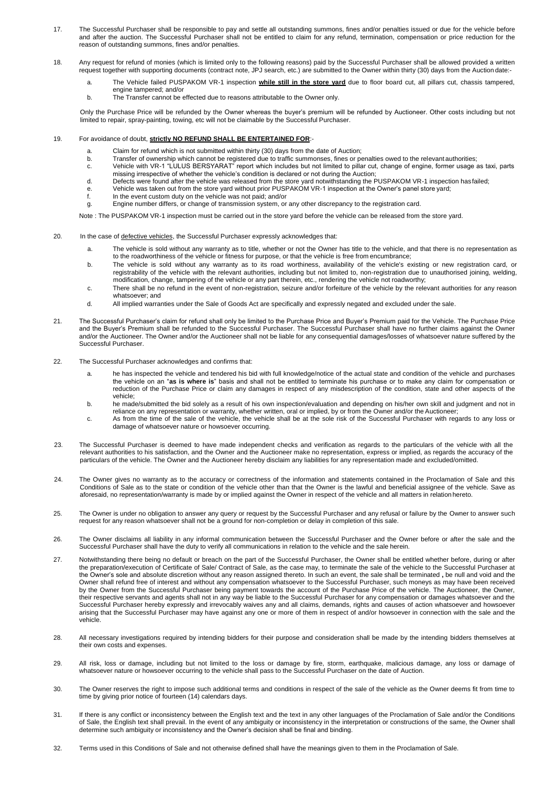- 17. The Successful Purchaser shall be responsible to pay and settle all outstanding summons, fines and/or penalties issued or due for the vehicle before and after the auction. The Successful Purchaser shall not be entitled to claim for any refund, termination, compensation or price reduction for the reason of outstanding summons, fines and/or penalties.
- 18. Any request for refund of monies (which is limited only to the following reasons) paid by the Successful Purchaser shall be allowed provided a written request together with supporting documents (contract note, JPJ search, etc.) are submitted to the Owner within thirty (30) days from the Auction date:
	- a. The Vehicle failed PUSPAKOM VR-1 inspection **while still in the store yard** due to floor board cut, all pillars cut, chassis tampered, engine tampered; and/or
	- b. The Transfer cannot be effected due to reasons attributable to the Owner only.

Only the Purchase Price will be refunded by the Owner whereas the buyer's premium will be refunded by Auctioneer. Other costs including but not limited to repair, spray-painting, towing, etc will not be claimable by the Successful Purchaser.

- 19. For avoidance of doubt, **strictly NO REFUND SHALL BE ENTERTAINED FOR**:
	- a. Claim for refund which is not submitted within thirty (30) days from the date of Auction;<br>b. Transfer of ownership which cannot be registered due to traffic summonses. fines or pe
	- b. Transfer of ownership which cannot be registered due to traffic summonses, fines or penalties owed to the relevant authorities;<br>c. Vehicle with VR-1 "LULUS BERSYARAT" report which includes but not limited to pillar cut,
	- Vehicle with VR-1 "LULUS BERSYARAT" report which includes but not limited to pillar cut, change of engine, former usage as taxi, parts missing irrespective of whether the vehicle's condition is declared or not during the Auction;
	- d. Defects were found after the vehicle was released from the store yard notwithstanding the PUSPAKOM VR-1 inspection hasfailed;
	- e. Vehicle was taken out from the store yard without prior PUSPAKOM VR-1 inspection at the Owner's panel store yard;<br>f. In the event custom duty on the vehicle was not paid: and/or
	- In the event custom duty on the vehicle was not paid; and/or
	- g. Engine number differs, or change of transmission system, or any other discrepancy to the registration card.

Note : The PUSPAKOM VR-1 inspection must be carried out in the store yard before the vehicle can be released from the store yard.

- 20. In the case of defective vehicles, the Successful Purchaser expressly acknowledges that:
	- a. The vehicle is sold without any warranty as to title, whether or not the Owner has title to the vehicle, and that there is no representation as to the roadworthiness of the vehicle or fitness for purpose, or that the vehicle is free from encumbrance;
	- b. The vehicle is sold without any warranty as to its road worthiness, availability of the vehicle's existing or new registration card, or registrability of the vehicle with the relevant authorities, including but not limited to, non-registration due to unauthorised joining, welding, modification, change, tampering of the vehicle or any part therein, etc., rendering the vehicle not roadworthy;
	- c. There shall be no refund in the event of non-registration, seizure and/or forfeiture of the vehicle by the relevant authorities for any reason whatsoever; and
	- d. All implied warranties under the Sale of Goods Act are specifically and expressly negated and excluded under the sale.
- 21. The Successful Purchaser's claim for refund shall only be limited to the Purchase Price and Buyer's Premium paid for the Vehicle. The Purchase Price and the Buyer's Premium shall be refunded to the Successful Purchaser. The Successful Purchaser shall have no further claims against the Owner and/or the Auctioneer. The Owner and/or the Auctioneer shall not be liable for any consequential damages/losses of whatsoever nature suffered by the Successful Purchaser.
- 22. The Successful Purchaser acknowledges and confirms that:
	- a. he has inspected the vehicle and tendered his bid with full knowledge/notice of the actual state and condition of the vehicle and purchases the vehicle on an "**as is where is**" basis and shall not be entitled to terminate his purchase or to make any claim for compensation or reduction of the Purchase Price or claim any damages in respect of any misdescription of the condition, state and other aspects of the vehicle;
	- b. he made/submitted the bid solely as a result of his own inspection/evaluation and depending on his/her own skill and judgment and not in reliance on any representation or warranty, whether written, oral or implied, by or from the Owner and/or the Auctioneer;
	- c. As from the time of the sale of the vehicle, the vehicle shall be at the sole risk of the Successful Purchaser with regards to any loss or damage of whatsoever nature or howsoever occurring.
- 23. The Successful Purchaser is deemed to have made independent checks and verification as regards to the particulars of the vehicle with all the relevant authorities to his satisfaction, and the Owner and the Auctioneer make no representation, express or implied, as regards the accuracy of the particulars of the vehicle. The Owner and the Auctioneer hereby disclaim any liabilities for any representation made and excluded/omitted.
- 24. The Owner gives no warranty as to the accuracy or correctness of the information and statements contained in the Proclamation of Sale and this Conditions of Sale as to the state or condition of the vehicle other than that the Owner is the lawful and beneficial assignee of the vehicle. Save as aforesaid, no representation/warranty is made by or implied against the Owner in respect of the vehicle and all matters in relationhereto.
- 25. The Owner is under no obligation to answer any query or request by the Successful Purchaser and any refusal or failure by the Owner to answer such request for any reason whatsoever shall not be a ground for non-completion or delay in completion of this sale.
- 26. The Owner disclaims all liability in any informal communication between the Successful Purchaser and the Owner before or after the sale and the Successful Purchaser shall have the duty to verify all communications in relation to the vehicle and the sale herein.
- 27. Notwithstanding there being no default or breach on the part of the Successful Purchaser, the Owner shall be entitled whether before, during or after the preparation/execution of Certificate of Sale/ Contract of Sale, as the case may, to terminate the sale of the vehicle to the Successful Purchaser at the Owner's sole and absolute discretion without any reason assigned thereto. In such an event, the sale shall be terminated **,** be null and void and the Owner shall refund free of interest and without any compensation whatsoever to the Successful Purchaser, such moneys as may have been received by the Owner from the Successful Purchaser being payment towards the account of the Purchase Price of the vehicle. The Auctioneer, the Owner, their respective servants and agents shall not in any way be liable to the Successful Purchaser for any compensation or damages whatsoever and the Successful Purchaser hereby expressly and irrevocably waives any and all claims, demands, rights and causes of action whatsoever and howsoever arising that the Successful Purchaser may have against any one or more of them in respect of and/or howsoever in connection with the sale and the vehicle.
- 28. All necessary investigations required by intending bidders for their purpose and consideration shall be made by the intending bidders themselves at their own costs and expenses.
- 29. All risk, loss or damage, including but not limited to the loss or damage by fire, storm, earthquake, malicious damage, any loss or damage of whatsoever nature or howsoever occurring to the vehicle shall pass to the Successful Purchaser on the date of Auction.
- 30. The Owner reserves the right to impose such additional terms and conditions in respect of the sale of the vehicle as the Owner deems fit from time to time by giving prior notice of fourteen (14) calendars days.
- 31. If there is any conflict or inconsistency between the English text and the text in any other languages of the Proclamation of Sale and/or the Conditions of Sale, the English text shall prevail. In the event of any ambiguity or inconsistency in the interpretation or constructions of the same, the Owner shall determine such ambiguity or inconsistency and the Owner's decision shall be final and binding.
- 32. Terms used in this Conditions of Sale and not otherwise defined shall have the meanings given to them in the Proclamation of Sale.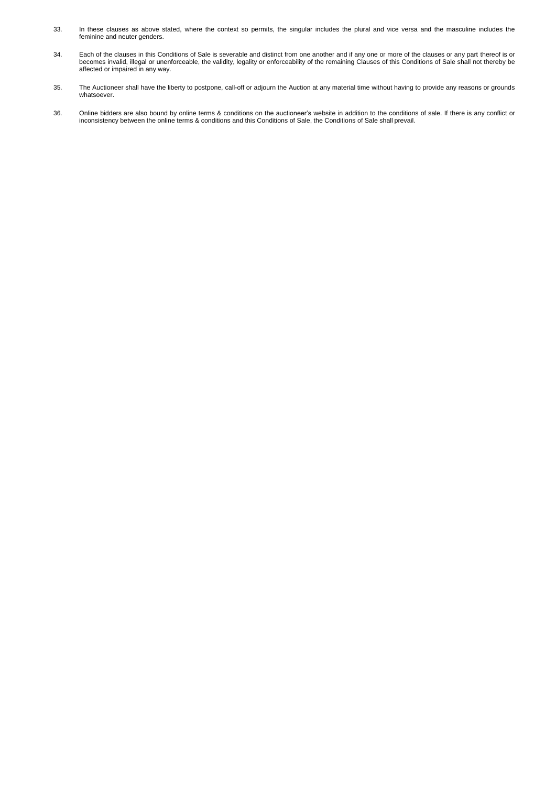- 33. In these clauses as above stated, where the context so permits, the singular includes the plural and vice versa and the masculine includes the feminine and neuter genders.
- 34. Each of the clauses in this Conditions of Sale is severable and distinct from one another and if any one or more of the clauses or any part thereof is or becomes invalid, illegal or unenforceable, the validity, legality or enforceability of the remaining Clauses of this Conditions of Sale shall not thereby be affected or impaired in any way.
- 35. The Auctioneer shall have the liberty to postpone, call-off or adjourn the Auction at any material time without having to provide any reasons or grounds whatsoever.
- 36. Online bidders are also bound by online terms & conditions on the auctioneer's website in addition to the conditions of sale. If there is any conflict or inconsistency between the online terms & conditions and this Conditions of Sale, the Conditions of Sale shall prevail.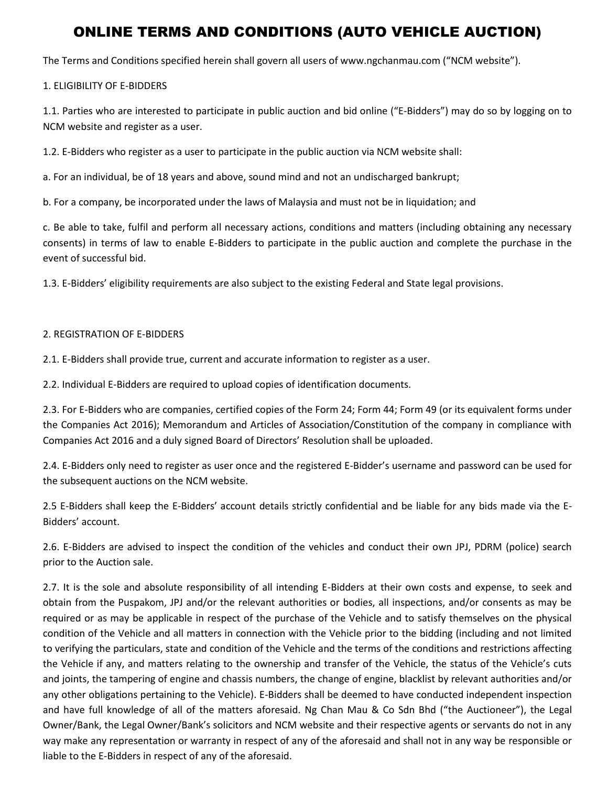## ONLINE TERMS AND CONDITIONS (AUTO VEHICLE AUCTION)

The Terms and Conditions specified herein shall govern all users of www.ngchanmau.com ("NCM website").

#### 1. ELIGIBILITY OF E-BIDDERS

1.1. Parties who are interested to participate in public auction and bid online ("E-Bidders") may do so by logging on to NCM website and register as a user.

1.2. E-Bidders who register as a user to participate in the public auction via NCM website shall:

a. For an individual, be of 18 years and above, sound mind and not an undischarged bankrupt;

b. For a company, be incorporated under the laws of Malaysia and must not be in liquidation; and

c. Be able to take, fulfil and perform all necessary actions, conditions and matters (including obtaining any necessary consents) in terms of law to enable E-Bidders to participate in the public auction and complete the purchase in the event of successful bid.

1.3. E-Bidders' eligibility requirements are also subject to the existing Federal and State legal provisions.

#### 2. REGISTRATION OF E-BIDDERS

2.1. E-Bidders shall provide true, current and accurate information to register as a user.

2.2. Individual E-Bidders are required to upload copies of identification documents.

2.3. For E-Bidders who are companies, certified copies of the Form 24; Form 44; Form 49 (or its equivalent forms under the Companies Act 2016); Memorandum and Articles of Association/Constitution of the company in compliance with Companies Act 2016 and a duly signed Board of Directors' Resolution shall be uploaded.

2.4. E-Bidders only need to register as user once and the registered E-Bidder's username and password can be used for the subsequent auctions on the NCM website.

2.5 E-Bidders shall keep the E-Bidders' account details strictly confidential and be liable for any bids made via the E-Bidders' account.

2.6. E-Bidders are advised to inspect the condition of the vehicles and conduct their own JPJ, PDRM (police) search prior to the Auction sale.

2.7. It is the sole and absolute responsibility of all intending E-Bidders at their own costs and expense, to seek and obtain from the Puspakom, JPJ and/or the relevant authorities or bodies, all inspections, and/or consents as may be required or as may be applicable in respect of the purchase of the Vehicle and to satisfy themselves on the physical condition of the Vehicle and all matters in connection with the Vehicle prior to the bidding (including and not limited to verifying the particulars, state and condition of the Vehicle and the terms of the conditions and restrictions affecting the Vehicle if any, and matters relating to the ownership and transfer of the Vehicle, the status of the Vehicle's cuts and joints, the tampering of engine and chassis numbers, the change of engine, blacklist by relevant authorities and/or any other obligations pertaining to the Vehicle). E-Bidders shall be deemed to have conducted independent inspection and have full knowledge of all of the matters aforesaid. Ng Chan Mau & Co Sdn Bhd ("the Auctioneer"), the Legal Owner/Bank, the Legal Owner/Bank's solicitors and NCM website and their respective agents or servants do not in any way make any representation or warranty in respect of any of the aforesaid and shall not in any way be responsible or liable to the E-Bidders in respect of any of the aforesaid.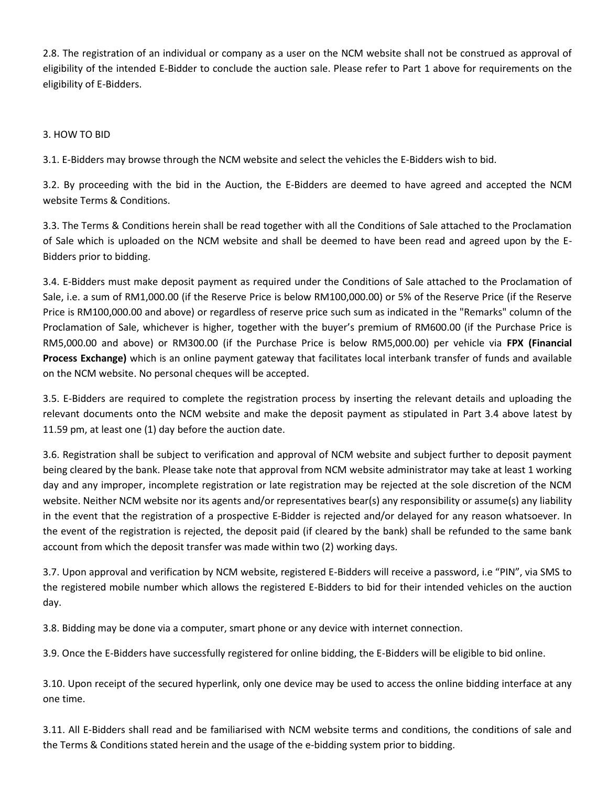2.8. The registration of an individual or company as a user on the NCM website shall not be construed as approval of eligibility of the intended E-Bidder to conclude the auction sale. Please refer to Part 1 above for requirements on the eligibility of E-Bidders.

3. HOW TO BID

3.1. E-Bidders may browse through the NCM website and select the vehicles the E-Bidders wish to bid.

3.2. By proceeding with the bid in the Auction, the E-Bidders are deemed to have agreed and accepted the NCM website Terms & Conditions.

3.3. The Terms & Conditions herein shall be read together with all the Conditions of Sale attached to the Proclamation of Sale which is uploaded on the NCM website and shall be deemed to have been read and agreed upon by the E-Bidders prior to bidding.

3.4. E-Bidders must make deposit payment as required under the Conditions of Sale attached to the Proclamation of Sale, i.e. a sum of RM1,000.00 (if the Reserve Price is below RM100,000.00) or 5% of the Reserve Price (if the Reserve Price is RM100,000.00 and above) or regardless of reserve price such sum as indicated in the "Remarks" column of the Proclamation of Sale, whichever is higher, together with the buyer's premium of RM600.00 (if the Purchase Price is RM5,000.00 and above) or RM300.00 (if the Purchase Price is below RM5,000.00) per vehicle via **FPX (Financial Process Exchange)** which is an online payment gateway that facilitates local interbank transfer of funds and available on the NCM website. No personal cheques will be accepted.

3.5. E-Bidders are required to complete the registration process by inserting the relevant details and uploading the relevant documents onto the NCM website and make the deposit payment as stipulated in Part 3.4 above latest by 11.59 pm, at least one (1) day before the auction date.

3.6. Registration shall be subject to verification and approval of NCM website and subject further to deposit payment being cleared by the bank. Please take note that approval from NCM website administrator may take at least 1 working day and any improper, incomplete registration or late registration may be rejected at the sole discretion of the NCM website. Neither NCM website nor its agents and/or representatives bear(s) any responsibility or assume(s) any liability in the event that the registration of a prospective E-Bidder is rejected and/or delayed for any reason whatsoever. In the event of the registration is rejected, the deposit paid (if cleared by the bank) shall be refunded to the same bank account from which the deposit transfer was made within two (2) working days.

3.7. Upon approval and verification by NCM website, registered E-Bidders will receive a password, i.e "PIN", via SMS to the registered mobile number which allows the registered E-Bidders to bid for their intended vehicles on the auction day.

3.8. Bidding may be done via a computer, smart phone or any device with internet connection.

3.9. Once the E-Bidders have successfully registered for online bidding, the E-Bidders will be eligible to bid online.

3.10. Upon receipt of the secured hyperlink, only one device may be used to access the online bidding interface at any one time.

3.11. All E-Bidders shall read and be familiarised with NCM website terms and conditions, the conditions of sale and the Terms & Conditions stated herein and the usage of the e-bidding system prior to bidding.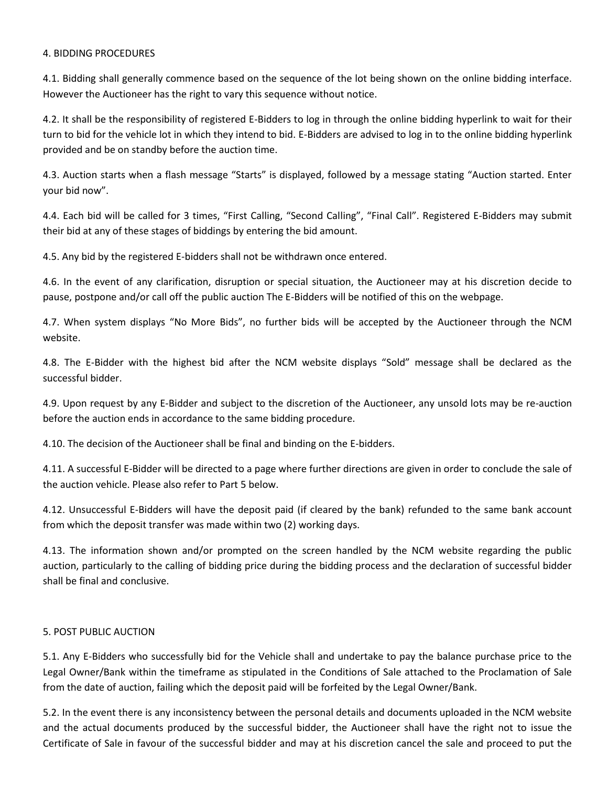#### 4. BIDDING PROCEDURES

4.1. Bidding shall generally commence based on the sequence of the lot being shown on the online bidding interface. However the Auctioneer has the right to vary this sequence without notice.

4.2. It shall be the responsibility of registered E-Bidders to log in through the online bidding hyperlink to wait for their turn to bid for the vehicle lot in which they intend to bid. E-Bidders are advised to log in to the online bidding hyperlink provided and be on standby before the auction time.

4.3. Auction starts when a flash message "Starts" is displayed, followed by a message stating "Auction started. Enter your bid now".

4.4. Each bid will be called for 3 times, "First Calling, "Second Calling", "Final Call". Registered E-Bidders may submit their bid at any of these stages of biddings by entering the bid amount.

4.5. Any bid by the registered E-bidders shall not be withdrawn once entered.

4.6. In the event of any clarification, disruption or special situation, the Auctioneer may at his discretion decide to pause, postpone and/or call off the public auction The E-Bidders will be notified of this on the webpage.

4.7. When system displays "No More Bids", no further bids will be accepted by the Auctioneer through the NCM website.

4.8. The E-Bidder with the highest bid after the NCM website displays "Sold" message shall be declared as the successful bidder.

4.9. Upon request by any E-Bidder and subject to the discretion of the Auctioneer, any unsold lots may be re-auction before the auction ends in accordance to the same bidding procedure.

4.10. The decision of the Auctioneer shall be final and binding on the E-bidders.

4.11. A successful E-Bidder will be directed to a page where further directions are given in order to conclude the sale of the auction vehicle. Please also refer to Part 5 below.

4.12. Unsuccessful E-Bidders will have the deposit paid (if cleared by the bank) refunded to the same bank account from which the deposit transfer was made within two (2) working days.

4.13. The information shown and/or prompted on the screen handled by the NCM website regarding the public auction, particularly to the calling of bidding price during the bidding process and the declaration of successful bidder shall be final and conclusive.

#### 5. POST PUBLIC AUCTION

5.1. Any E-Bidders who successfully bid for the Vehicle shall and undertake to pay the balance purchase price to the Legal Owner/Bank within the timeframe as stipulated in the Conditions of Sale attached to the Proclamation of Sale from the date of auction, failing which the deposit paid will be forfeited by the Legal Owner/Bank.

5.2. In the event there is any inconsistency between the personal details and documents uploaded in the NCM website and the actual documents produced by the successful bidder, the Auctioneer shall have the right not to issue the Certificate of Sale in favour of the successful bidder and may at his discretion cancel the sale and proceed to put the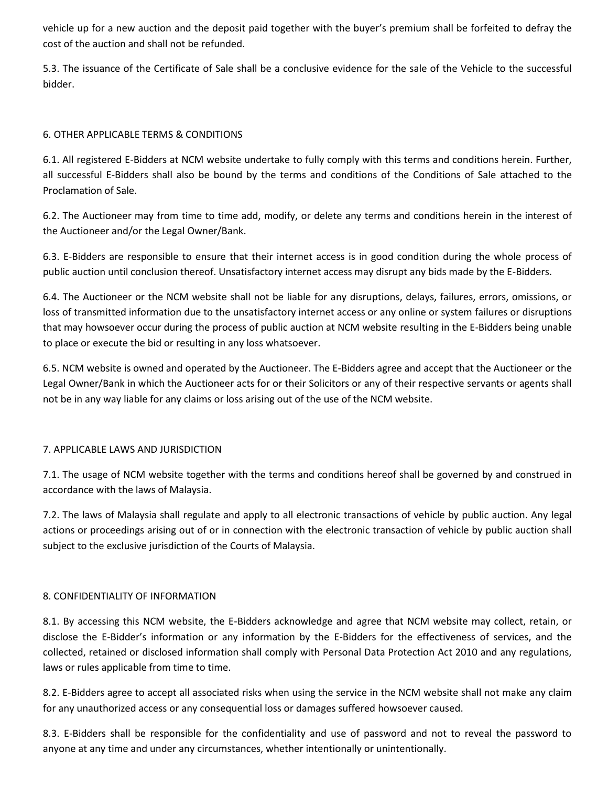vehicle up for a new auction and the deposit paid together with the buyer's premium shall be forfeited to defray the cost of the auction and shall not be refunded.

5.3. The issuance of the Certificate of Sale shall be a conclusive evidence for the sale of the Vehicle to the successful bidder.

#### 6. OTHER APPLICABLE TERMS & CONDITIONS

6.1. All registered E-Bidders at NCM website undertake to fully comply with this terms and conditions herein. Further, all successful E-Bidders shall also be bound by the terms and conditions of the Conditions of Sale attached to the Proclamation of Sale.

6.2. The Auctioneer may from time to time add, modify, or delete any terms and conditions herein in the interest of the Auctioneer and/or the Legal Owner/Bank.

6.3. E-Bidders are responsible to ensure that their internet access is in good condition during the whole process of public auction until conclusion thereof. Unsatisfactory internet access may disrupt any bids made by the E-Bidders.

6.4. The Auctioneer or the NCM website shall not be liable for any disruptions, delays, failures, errors, omissions, or loss of transmitted information due to the unsatisfactory internet access or any online or system failures or disruptions that may howsoever occur during the process of public auction at NCM website resulting in the E-Bidders being unable to place or execute the bid or resulting in any loss whatsoever.

6.5. NCM website is owned and operated by the Auctioneer. The E-Bidders agree and accept that the Auctioneer or the Legal Owner/Bank in which the Auctioneer acts for or their Solicitors or any of their respective servants or agents shall not be in any way liable for any claims or loss arising out of the use of the NCM website.

#### 7. APPLICABLE LAWS AND JURISDICTION

7.1. The usage of NCM website together with the terms and conditions hereof shall be governed by and construed in accordance with the laws of Malaysia.

7.2. The laws of Malaysia shall regulate and apply to all electronic transactions of vehicle by public auction. Any legal actions or proceedings arising out of or in connection with the electronic transaction of vehicle by public auction shall subject to the exclusive jurisdiction of the Courts of Malaysia.

#### 8. CONFIDENTIALITY OF INFORMATION

8.1. By accessing this NCM website, the E-Bidders acknowledge and agree that NCM website may collect, retain, or disclose the E-Bidder's information or any information by the E-Bidders for the effectiveness of services, and the collected, retained or disclosed information shall comply with Personal Data Protection Act 2010 and any regulations, laws or rules applicable from time to time.

8.2. E-Bidders agree to accept all associated risks when using the service in the NCM website shall not make any claim for any unauthorized access or any consequential loss or damages suffered howsoever caused.

8.3. E-Bidders shall be responsible for the confidentiality and use of password and not to reveal the password to anyone at any time and under any circumstances, whether intentionally or unintentionally.